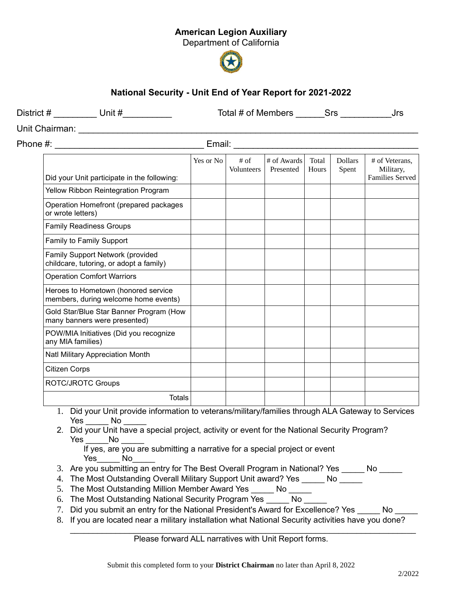## American Legion Auxiliary

Department of California



## National Security - Unit End of Year Report for 2021-2022

District # \_\_\_\_\_\_\_\_\_\_ Unit # \_\_\_\_\_\_\_\_\_\_\_\_\_\_\_\_\_\_\_\_\_ Total # of Members \_\_\_\_\_\_\_Srs \_\_\_\_\_\_\_\_\_\_\_\_\_\_\_\_\_\_Jrs

Unit Chairman: \_\_\_\_\_\_\_\_\_\_\_\_\_\_\_\_\_\_\_\_\_\_\_\_\_\_\_\_\_\_\_\_\_\_\_\_\_\_\_\_\_\_\_\_\_\_\_\_\_\_\_\_\_\_\_\_\_\_\_\_\_\_\_\_\_\_\_\_\_

Phone #:  $\blacksquare$  Email:  $\blacksquare$ 

|                                                                             | Yes or No | # of       | # of Awards | Total | <b>Dollars</b> | # of Veterans.                      |
|-----------------------------------------------------------------------------|-----------|------------|-------------|-------|----------------|-------------------------------------|
| Did your Unit participate in the following:                                 |           | Volunteers | Presented   | Hours | Spent          | Military,<br><b>Families Served</b> |
| Yellow Ribbon Reintegration Program                                         |           |            |             |       |                |                                     |
| Operation Homefront (prepared packages<br>or wrote letters)                 |           |            |             |       |                |                                     |
| <b>Family Readiness Groups</b>                                              |           |            |             |       |                |                                     |
| Family to Family Support                                                    |           |            |             |       |                |                                     |
| Family Support Network (provided<br>childcare, tutoring, or adopt a family) |           |            |             |       |                |                                     |
| <b>Operation Comfort Warriors</b>                                           |           |            |             |       |                |                                     |
| Heroes to Hometown (honored service<br>members, during welcome home events) |           |            |             |       |                |                                     |
| Gold Star/Blue Star Banner Program (How<br>many banners were presented)     |           |            |             |       |                |                                     |
| POW/MIA Initiatives (Did you recognize<br>any MIA families)                 |           |            |             |       |                |                                     |
| Natl Military Appreciation Month                                            |           |            |             |       |                |                                     |
| <b>Citizen Corps</b>                                                        |           |            |             |       |                |                                     |
| ROTC/JROTC Groups                                                           |           |            |             |       |                |                                     |
| Totals                                                                      |           |            |             |       |                |                                     |

- 1. Did your Unit provide information to veterans/military/families through ALA Gateway to Services Yes No
- 2. Did your Unit have a special project, activity or event for the National Security Program? Yes No No

If yes, are you are submitting a narrative for a special project or event Yes No

- 3. Are you submitting an entry for The Best Overall Program in National? Yes \_\_\_\_\_ No \_\_\_\_\_
- 4. The Most Outstanding Overall Military Support Unit award? Yes \_\_\_\_\_ No \_\_\_\_\_
- 5. The Most Outstanding Million Member Award Yes No
- 6. The Most Outstanding National Security Program Yes No
- 7. Did you submit an entry for the National President's Award for Excellence? Yes \_\_\_\_\_ No \_\_\_\_\_
- 8. If you are located near a military installation what National Security activities have you done?

 $\_$  , and the contribution of the contribution of the contribution of the contribution of  $\mathcal{L}_\mathbf{z}$ Please forward ALL narratives with Unit Report forms.